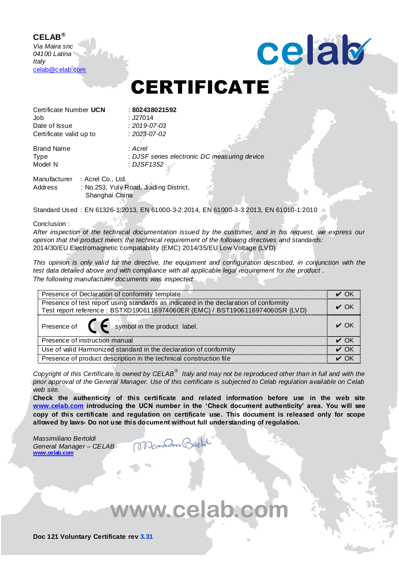## **CELAB®**

*Via Maira snc 04100 Latina Italy* [celab@celab.com](mailto:celab@celab.com)

## CERTIFICATE

celab

Certificate Number **UCN** : **802438021592** Job : J27014 Date of Issue : *2019-07-03* Certificate valid up to : *2023-07-02*

Brand Name : *Acrel* Type : *DJSF series electronic DC measuring device* : *DJSF1352* 

Manufacturer : Acrel Co., Ltd. Address : No.253, Yulv Road, Jiading District, Shanghai China

Standard Used : EN 61326-1:2013, EN 61000-3-2:2014, EN 61000-3-3:2013, EN 61010-1:2010

## Conclusion :

*After inspection of the technical documentation issued by the customer, and in his request, we express our opinion that the product meets the technical requirement of the following directives and standards:* 2014/30/EU Electromagnetic compatability (EMC) 2014/35/EU Low Voltage (LVD)

*This opinion is only valid for the directive, the equipment and configuration described, in conjunction with the test data detailed above and with compliance with all applicable legal requirement for the product . The following manufacturer documents was inspected:*

| Presence of Declaration of conformity template                                        |  |
|---------------------------------------------------------------------------------------|--|
| Presence of test report using standards as indicated in the declaration of conformity |  |
| Test report reference : BSTXD1906116974060ER (EMC) / BST1906116974060SR (LVD)         |  |
| Presence of $\blacksquare$ symbol in the product label.                               |  |
| Presence of instruction manual                                                        |  |
| Use of valid Harmonized standard in the declaration of conformity                     |  |
| Presence of product description in the technical construction file                    |  |

*Copyright of this Certificate is owned by CELAB® Italy and may not be reproduced other than in full and with the prior approval of the General Manager. Use of this certificate is subjected to Celab regulation available on Celab web site.* 

**Check the authenticity of this certificate and related information before use in the web site [www.celab.com](http://www.celab.com/) introducing the UCN number in the 'Check document authenticity' area. You will see copy of this certificate and regulation on certificate use. This document is released only for scope allowed by laws- Do not use this document without full understanding of regulation.** 

DanibamB

*Massimiliano Bertoldi General Manager – CELAB* **[www.celab.com](http://www.celab.com/)**

ww.celab.com